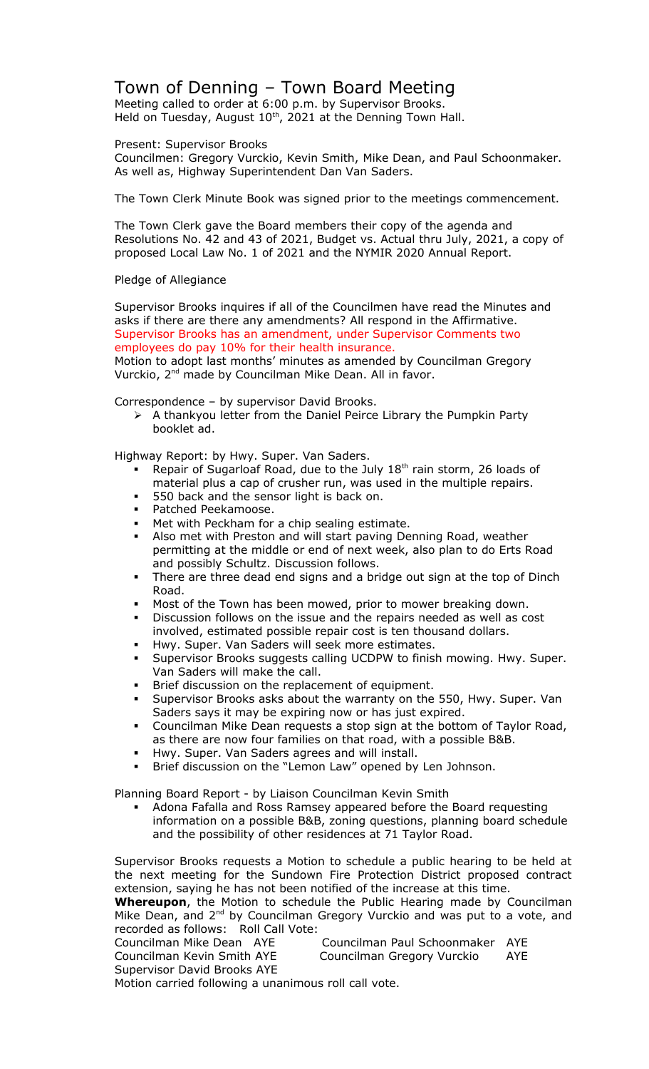## Town of Denning – Town Board Meeting

Meeting called to order at 6:00 p.m. by Supervisor Brooks. Held on Tuesday, August  $10<sup>th</sup>$ , 2021 at the Denning Town Hall.

Present: Supervisor Brooks

Councilmen: Gregory Vurckio, Kevin Smith, Mike Dean, and Paul Schoonmaker. As well as, Highway Superintendent Dan Van Saders.

The Town Clerk Minute Book was signed prior to the meetings commencement.

The Town Clerk gave the Board members their copy of the agenda and Resolutions No. 42 and 43 of 2021, Budget vs. Actual thru July, 2021, a copy of proposed Local Law No. 1 of 2021 and the NYMIR 2020 Annual Report.

Pledge of Allegiance

Supervisor Brooks inquires if all of the Councilmen have read the Minutes and asks if there are there any amendments? All respond in the Affirmative. Supervisor Brooks has an amendment, under Supervisor Comments two employees do pay 10% for their health insurance.

Motion to adopt last months' minutes as amended by Councilman Gregory Vurckio, 2<sup>nd</sup> made by Councilman Mike Dean. All in favor.

Correspondence – by supervisor David Brooks.

 $\triangleright$  A thankyou letter from the Daniel Peirce Library the Pumpkin Party booklet ad.

Highway Report: by Hwy. Super. Van Saders.

- Repair of Sugarloaf Road, due to the July 18<sup>th</sup> rain storm, 26 loads of material plus a cap of crusher run, was used in the multiple repairs.
- **550 back and the sensor light is back on.**
- **Patched Peekamoose.**
- **Met with Peckham for a chip sealing estimate.**
- Also met with Preston and will start paving Denning Road, weather permitting at the middle or end of next week, also plan to do Erts Road and possibly Schultz. Discussion follows.
- There are three dead end signs and a bridge out sign at the top of Dinch Road.
- Most of the Town has been mowed, prior to mower breaking down.
- Discussion follows on the issue and the repairs needed as well as cost involved, estimated possible repair cost is ten thousand dollars.
- Hwy. Super. Van Saders will seek more estimates.
- Supervisor Brooks suggests calling UCDPW to finish mowing. Hwy. Super. Van Saders will make the call.
- Brief discussion on the replacement of equipment.
- Supervisor Brooks asks about the warranty on the 550, Hwy. Super. Van Saders says it may be expiring now or has just expired.
- Councilman Mike Dean requests a stop sign at the bottom of Taylor Road, as there are now four families on that road, with a possible B&B.
- Hwy. Super. Van Saders agrees and will install.
- **Brief discussion on the "Lemon Law" opened by Len Johnson.**

Planning Board Report - by Liaison Councilman Kevin Smith

 Adona Fafalla and Ross Ramsey appeared before the Board requesting information on a possible B&B, zoning questions, planning board schedule and the possibility of other residences at 71 Taylor Road.

Supervisor Brooks requests a Motion to schedule a public hearing to be held at the next meeting for the Sundown Fire Protection District proposed contract extension, saying he has not been notified of the increase at this time.

**Whereupon**, the Motion to schedule the Public Hearing made by Councilman Mike Dean, and 2<sup>nd</sup> by Councilman Gregory Vurckio and was put to a vote, and recorded as follows: Roll Call Vote:

| Councilman Mike Dean AYE    | Councilman Paul Schoonmaker AYE |     |
|-----------------------------|---------------------------------|-----|
| Councilman Kevin Smith AYE  | Councilman Gregory Vurckio      | AYE |
| Supervisor David Brooks AYE |                                 |     |

Motion carried following a unanimous roll call vote.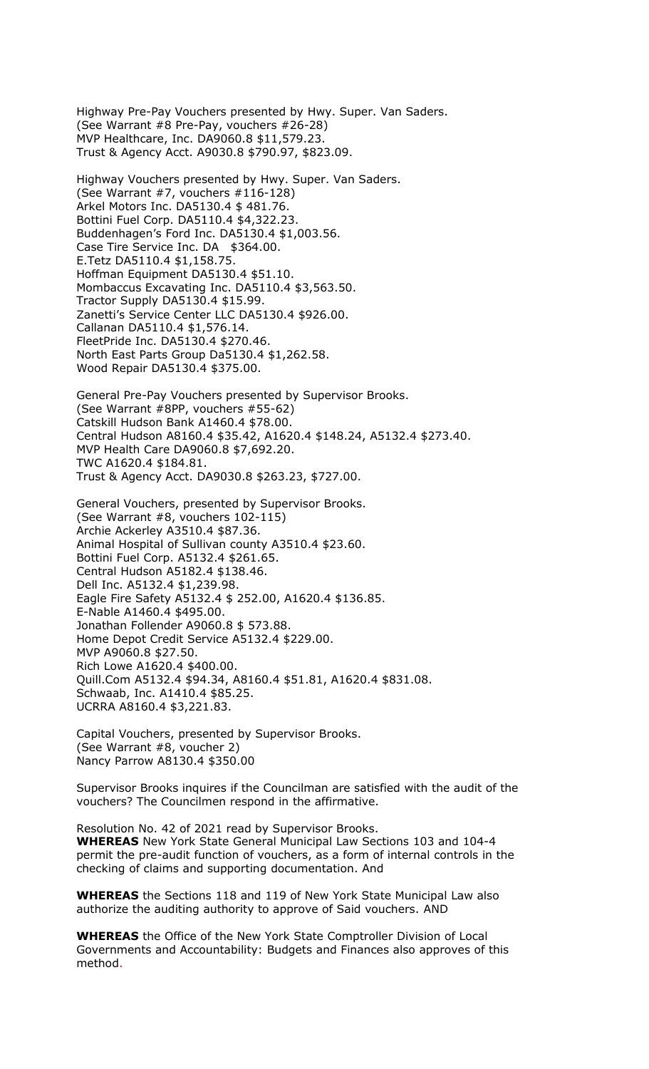Highway Pre-Pay Vouchers presented by Hwy. Super. Van Saders. (See Warrant #8 Pre-Pay, vouchers #26-28) MVP Healthcare, Inc. DA9060.8 \$11,579.23. Trust & Agency Acct. A9030.8 \$790.97, \$823.09.

Highway Vouchers presented by Hwy. Super. Van Saders. (See Warrant #7, vouchers #116-128) Arkel Motors Inc. DA5130.4 \$ 481.76. Bottini Fuel Corp. DA5110.4 \$4,322.23. Buddenhagen's Ford Inc. DA5130.4 \$1,003.56. Case Tire Service Inc. DA \$364.00. E.Tetz DA5110.4 \$1,158.75. Hoffman Equipment DA5130.4 \$51.10. Mombaccus Excavating Inc. DA5110.4 \$3,563.50. Tractor Supply DA5130.4 \$15.99. Zanetti's Service Center LLC DA5130.4 \$926.00. Callanan DA5110.4 \$1,576.14. FleetPride Inc. DA5130.4 \$270.46. North East Parts Group Da5130.4 \$1,262.58. Wood Repair DA5130.4 \$375.00.

General Pre-Pay Vouchers presented by Supervisor Brooks. (See Warrant #8PP, vouchers #55-62) Catskill Hudson Bank A1460.4 \$78.00. Central Hudson A8160.4 \$35.42, A1620.4 \$148.24, A5132.4 \$273.40. MVP Health Care DA9060.8 \$7,692.20. TWC A1620.4 \$184.81. Trust & Agency Acct. DA9030.8 \$263.23, \$727.00.

General Vouchers, presented by Supervisor Brooks. (See Warrant #8, vouchers 102-115) Archie Ackerley A3510.4 \$87.36. Animal Hospital of Sullivan county A3510.4 \$23.60. Bottini Fuel Corp. A5132.4 \$261.65. Central Hudson A5182.4 \$138.46. Dell Inc. A5132.4 \$1,239.98. Eagle Fire Safety A5132.4 \$ 252.00, A1620.4 \$136.85. E-Nable A1460.4 \$495.00. Jonathan Follender A9060.8 \$ 573.88. Home Depot Credit Service A5132.4 \$229.00. MVP A9060.8 \$27.50. Rich Lowe A1620.4 \$400.00. Quill.Com A5132.4 \$94.34, A8160.4 \$51.81, A1620.4 \$831.08. Schwaab, Inc. A1410.4 \$85.25. UCRRA A8160.4 \$3,221.83.

Capital Vouchers, presented by Supervisor Brooks. (See Warrant #8, voucher 2) Nancy Parrow A8130.4 \$350.00

Supervisor Brooks inquires if the Councilman are satisfied with the audit of the vouchers? The Councilmen respond in the affirmative.

Resolution No. 42 of 2021 read by Supervisor Brooks. **WHEREAS** New York State General Municipal Law Sections 103 and 104-4 permit the pre-audit function of vouchers, as a form of internal controls in the checking of claims and supporting documentation. And

**WHEREAS** the Sections 118 and 119 of New York State Municipal Law also authorize the auditing authority to approve of Said vouchers. AND

**WHEREAS** the Office of the New York State Comptroller Division of Local Governments and Accountability: Budgets and Finances also approves of this method.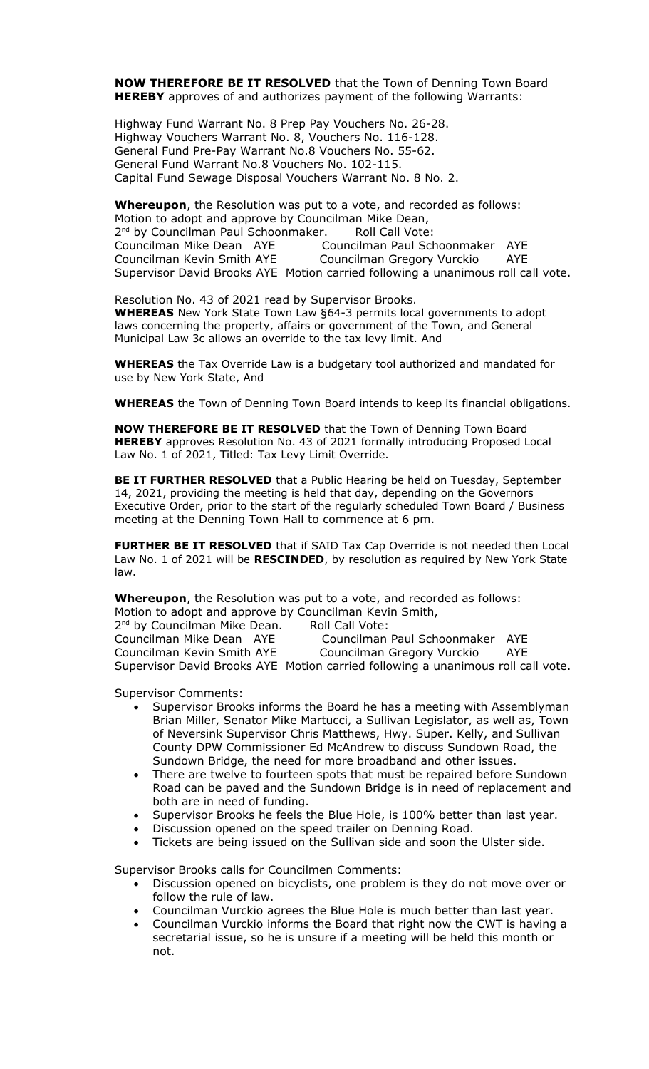**NOW THEREFORE BE IT RESOLVED** that the Town of Denning Town Board **HEREBY** approves of and authorizes payment of the following Warrants:

Highway Fund Warrant No. 8 Prep Pay Vouchers No. 26-28. Highway Vouchers Warrant No. 8, Vouchers No. 116-128. General Fund Pre-Pay Warrant No.8 Vouchers No. 55-62. General Fund Warrant No.8 Vouchers No. 102-115. Capital Fund Sewage Disposal Vouchers Warrant No. 8 No. 2.

**Whereupon**, the Resolution was put to a vote, and recorded as follows: Motion to adopt and approve by Councilman Mike Dean, 2<sup>nd</sup> by Councilman Paul Schoonmaker. Roll Call Vote: Councilman Mike Dean AYE Councilman Paul Schoonmaker AYE Councilman Kevin Smith AYE Councilman Gregory Vurckio AYE Supervisor David Brooks AYE Motion carried following a unanimous roll call vote.

Resolution No. 43 of 2021 read by Supervisor Brooks. **WHEREAS** New York State Town Law §64-3 permits local governments to adopt laws concerning the property, affairs or government of the Town, and General Municipal Law 3c allows an override to the tax levy limit. And

**WHEREAS** the Tax Override Law is a budgetary tool authorized and mandated for use by New York State, And

**WHEREAS** the Town of Denning Town Board intends to keep its financial obligations.

**NOW THEREFORE BE IT RESOLVED** that the Town of Denning Town Board **HEREBY** approves Resolution No. 43 of 2021 formally introducing Proposed Local Law No. 1 of 2021, Titled: Tax Levy Limit Override.

**BE IT FURTHER RESOLVED** that a Public Hearing be held on Tuesday, September 14, 2021, providing the meeting is held that day, depending on the Governors Executive Order, prior to the start of the regularly scheduled Town Board / Business meeting at the Denning Town Hall to commence at 6 pm.

**FURTHER BE IT RESOLVED** that if SAID Tax Cap Override is not needed then Local Law No. 1 of 2021 will be **RESCINDED**, by resolution as required by New York State law.

**Whereupon**, the Resolution was put to a vote, and recorded as follows: Motion to adopt and approve by Councilman Kevin Smith,

2<sup>nd</sup> by Councilman Mike Dean. Roll Call Vote: Councilman Mike Dean AYE Councilman Paul Schoonmaker AYE Councilman Kevin Smith AYE Councilman Gregory Vurckio AYE Supervisor David Brooks AYE Motion carried following a unanimous roll call vote.

Supervisor Comments:

- Supervisor Brooks informs the Board he has a meeting with Assemblyman Brian Miller, Senator Mike Martucci, a Sullivan Legislator, as well as, Town of Neversink Supervisor Chris Matthews, Hwy. Super. Kelly, and Sullivan County DPW Commissioner Ed McAndrew to discuss Sundown Road, the Sundown Bridge, the need for more broadband and other issues.
- There are twelve to fourteen spots that must be repaired before Sundown Road can be paved and the Sundown Bridge is in need of replacement and both are in need of funding.
- Supervisor Brooks he feels the Blue Hole, is 100% better than last year.
- Discussion opened on the speed trailer on Denning Road.
- Tickets are being issued on the Sullivan side and soon the Ulster side.

Supervisor Brooks calls for Councilmen Comments:

- Discussion opened on bicyclists, one problem is they do not move over or follow the rule of law.
- Councilman Vurckio agrees the Blue Hole is much better than last year.
- Councilman Vurckio informs the Board that right now the CWT is having a secretarial issue, so he is unsure if a meeting will be held this month or not.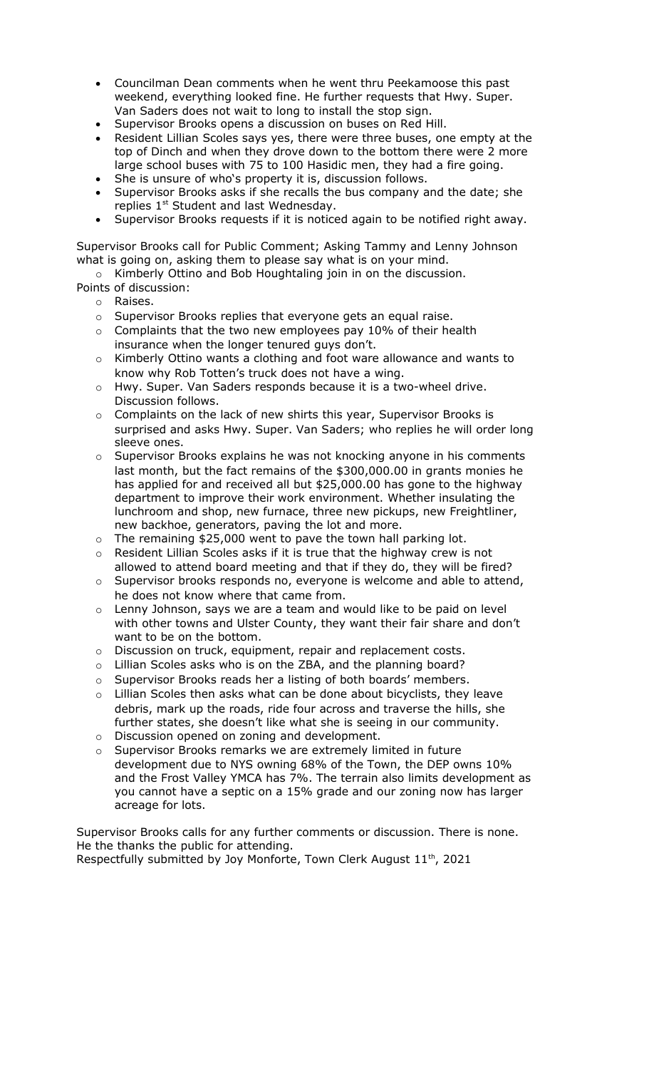- Councilman Dean comments when he went thru Peekamoose this past weekend, everything looked fine. He further requests that Hwy. Super. Van Saders does not wait to long to install the stop sign.
- Supervisor Brooks opens a discussion on buses on Red Hill.
- Resident Lillian Scoles says yes, there were three buses, one empty at the top of Dinch and when they drove down to the bottom there were 2 more large school buses with 75 to 100 Hasidic men, they had a fire going.
- She is unsure of who's property it is, discussion follows.
- Supervisor Brooks asks if she recalls the bus company and the date; she replies  $1<sup>st</sup>$  Student and last Wednesday.
- Supervisor Brooks requests if it is noticed again to be notified right away.

Supervisor Brooks call for Public Comment; Asking Tammy and Lenny Johnson what is going on, asking them to please say what is on your mind.

- o Kimberly Ottino and Bob Houghtaling join in on the discussion.
- Points of discussion:
	- o Raises.
		- o Supervisor Brooks replies that everyone gets an equal raise.
		- $\circ$  Complaints that the two new employees pay 10% of their health insurance when the longer tenured guys don't.
		- o Kimberly Ottino wants a clothing and foot ware allowance and wants to know why Rob Totten's truck does not have a wing.
		- o Hwy. Super. Van Saders responds because it is a two-wheel drive. Discussion follows.
		- $\circ$  Complaints on the lack of new shirts this year, Supervisor Brooks is surprised and asks Hwy. Super. Van Saders; who replies he will order long sleeve ones.
		- o Supervisor Brooks explains he was not knocking anyone in his comments last month, but the fact remains of the \$300,000.00 in grants monies he has applied for and received all but \$25,000.00 has gone to the highway department to improve their work environment. Whether insulating the lunchroom and shop, new furnace, three new pickups, new Freightliner, new backhoe, generators, paving the lot and more.
		- $\circ$  The remaining \$25,000 went to pave the town hall parking lot.
		- $\circ$  Resident Lillian Scoles asks if it is true that the highway crew is not allowed to attend board meeting and that if they do, they will be fired?
		- o Supervisor brooks responds no, everyone is welcome and able to attend, he does not know where that came from.
		- $\circ$  Lenny Johnson, says we are a team and would like to be paid on level with other towns and Ulster County, they want their fair share and don't want to be on the bottom.
		- o Discussion on truck, equipment, repair and replacement costs.
		- o Lillian Scoles asks who is on the ZBA, and the planning board?
		- o Supervisor Brooks reads her a listing of both boards' members.
		- o Lillian Scoles then asks what can be done about bicyclists, they leave debris, mark up the roads, ride four across and traverse the hills, she further states, she doesn't like what she is seeing in our community. o Discussion opened on zoning and development.
		-
		- o Supervisor Brooks remarks we are extremely limited in future development due to NYS owning 68% of the Town, the DEP owns 10% and the Frost Valley YMCA has 7%. The terrain also limits development as you cannot have a septic on a 15% grade and our zoning now has larger acreage for lots.

Supervisor Brooks calls for any further comments or discussion. There is none. He the thanks the public for attending.

Respectfully submitted by Joy Monforte, Town Clerk August 11<sup>th</sup>, 2021